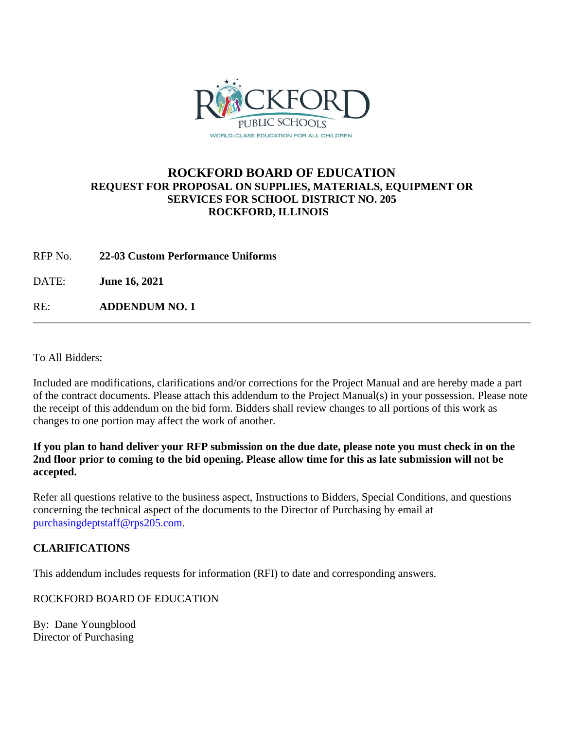

## **ROCKFORD BOARD OF EDUCATION REQUEST FOR PROPOSAL ON SUPPLIES, MATERIALS, EQUIPMENT OR SERVICES FOR SCHOOL DISTRICT NO. 205 ROCKFORD, ILLINOIS**

RFP No. **22-03 Custom Performance Uniforms**

DATE: **June 16, 2021**

RE: **ADDENDUM NO. 1**

To All Bidders:

Included are modifications, clarifications and/or corrections for the Project Manual and are hereby made a part of the contract documents. Please attach this addendum to the Project Manual(s) in your possession. Please note the receipt of this addendum on the bid form. Bidders shall review changes to all portions of this work as changes to one portion may affect the work of another.

**If you plan to hand deliver your RFP submission on the due date, please note you must check in on the 2nd floor prior to coming to the bid opening. Please allow time for this as late submission will not be accepted.**

Refer all questions relative to the business aspect, Instructions to Bidders, Special Conditions, and questions concerning the technical aspect of the documents to the Director of Purchasing by email at [purchasingdeptstaff@rps205.com.](mailto:purchasingdeptstaff@rps205.com)

## **CLARIFICATIONS**

This addendum includes requests for information (RFI) to date and corresponding answers.

ROCKFORD BOARD OF EDUCATION

By: Dane Youngblood Director of Purchasing